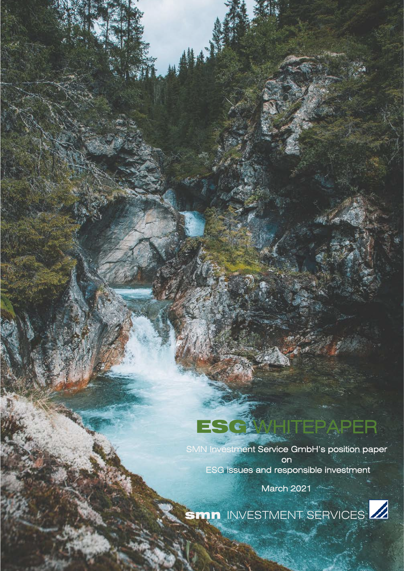# ESC**WAHTEPAPER**

. .

SMN Investment Service GmbH's position paper on ESG issues and responsible investment

March 2021

SMN INVESTMENT SERVICES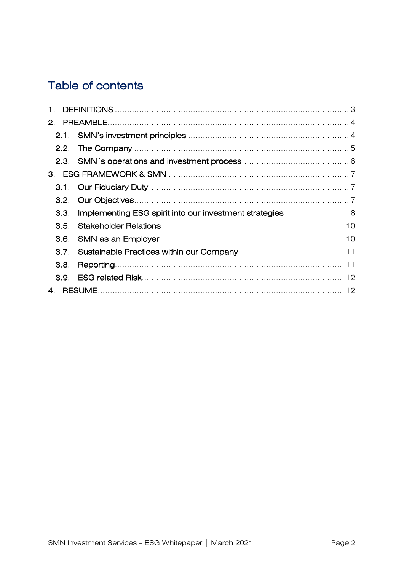# Table of contents

| 1.               |  |  |
|------------------|--|--|
|                  |  |  |
|                  |  |  |
|                  |  |  |
|                  |  |  |
|                  |  |  |
|                  |  |  |
|                  |  |  |
| 3.3.             |  |  |
| 3.5.             |  |  |
|                  |  |  |
| 3.7 <sub>1</sub> |  |  |
| 3.8.             |  |  |
| 3.9.             |  |  |
| $\overline{4}$   |  |  |
|                  |  |  |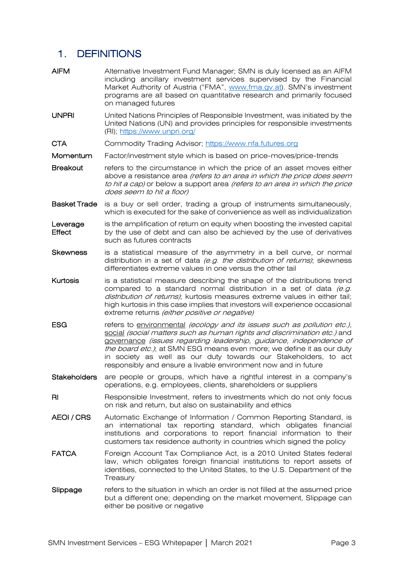# <span id="page-2-0"></span>1. DEFINITIONS

| AIFM                | Alternative Investment Fund Manager; SMN is duly licensed as an AIFM<br>including ancillary investment services supervised by the Financial<br>Market Authority of Austria ("FMA", www.fma.gv.at). SMN's investment<br>programs are all based on quantitative research and primarily focused<br>on managed futures                                                                                                                       |
|---------------------|------------------------------------------------------------------------------------------------------------------------------------------------------------------------------------------------------------------------------------------------------------------------------------------------------------------------------------------------------------------------------------------------------------------------------------------|
| <b>UNPRI</b>        | United Nations Principles of Responsible Investment, was initiated by the<br>United Nations (UN) and provides principles for responsible investments<br>(RI); https://www.unpri.org/                                                                                                                                                                                                                                                     |
| CTA                 | Commodity Trading Advisor; https://www.nfa.futures.org                                                                                                                                                                                                                                                                                                                                                                                   |
| Momentum            | Factor/investment style which is based on price-moves/price-trends                                                                                                                                                                                                                                                                                                                                                                       |
| Breakout            | refers to the circumstance in which the price of an asset moves either<br>above a resistance area (refers to an area in which the price does seem<br>to hit a cap) or below a support area (refers to an area in which the price<br>does seem to hit a floor)                                                                                                                                                                            |
| Basket Trade        | is a buy or sell order, trading a group of instruments simultaneously,<br>which is executed for the sake of convenience as well as individualization                                                                                                                                                                                                                                                                                     |
| Leverage<br>Effect  | is the amplification of return on equity when boosting the invested capital<br>by the use of debt and can also be achieved by the use of derivatives<br>such as futures contracts                                                                                                                                                                                                                                                        |
| <b>Skewness</b>     | is a statistical measure of the asymmetry in a bell curve, or normal<br>distribution in a set of data (e.g. the distribution of returns); skewness<br>differentiates extreme values in one versus the other tail                                                                                                                                                                                                                         |
| Kurtosis            | is a statistical measure describing the shape of the distributions trend<br>compared to a standard normal distribution in a set of data (e.g.<br>distribution of returns); kurtosis measures extreme values in either tail;<br>high kurtosis in this case implies that investors will experience occasional<br>extreme returns (either positive or negative)                                                                             |
| ESG                 | refers to environmental (ecology and its issues such as pollution etc.),<br>social (social matters such as human rights and discrimination etc.) and<br>governance (issues regarding leadership, guidance, independence of<br>the board etc.); at SMN ESG means even more; we define it as our duty<br>in society as well as our duty towards our Stakeholders, to act<br>responsibly and ensure a livable environment now and in future |
| <b>Stakeholders</b> | are people or groups, which have a rightful interest in a company's<br>operations, e.g. employees, clients, shareholders or suppliers                                                                                                                                                                                                                                                                                                    |
| RI                  | Responsible Investment, refers to investments which do not only focus<br>on risk and return, but also on sustainability and ethics                                                                                                                                                                                                                                                                                                       |
| AEOI / CRS          | Automatic Exchange of Information / Common Reporting Standard, is<br>an international tax reporting standard, which obligates financial<br>institutions and corporations to report financial information to their<br>customers tax residence authority in countries which signed the policy                                                                                                                                              |
| <b>FATCA</b>        | Foreign Account Tax Compliance Act, is a 2010 United States federal<br>law, which obligates foreign financial institutions to report assets of<br>identities, connected to the United States, to the U.S. Department of the<br>Treasury                                                                                                                                                                                                  |
| Slippage            | refers to the situation in which an order is not filled at the assumed price<br>but a different one; depending on the market movement, Slippage can<br>either be positive or negative                                                                                                                                                                                                                                                    |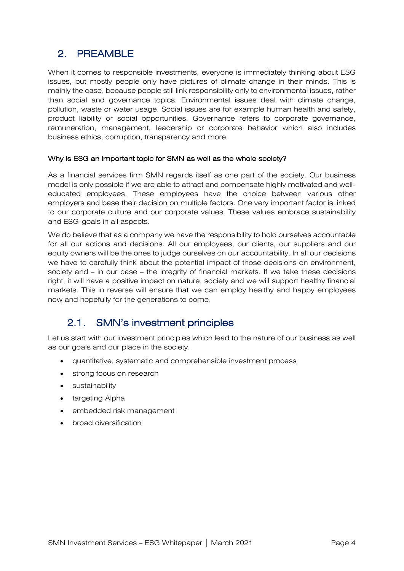# <span id="page-3-0"></span>2. PREAMBLE

When it comes to responsible investments, everyone is immediately thinking about ESG issues, but mostly people only have pictures of climate change in their minds. This is mainly the case, because people still link responsibility only to environmental issues, rather than social and governance topics. Environmental issues deal with climate change, pollution, waste or water usage. Social issues are for example human health and safety, product liability or social opportunities. Governance refers to corporate governance, remuneration, management, leadership or corporate behavior which also includes business ethics, corruption, transparency and more.

#### Why is ESG an important topic for SMN as well as the whole society?

As a financial services firm SMN regards itself as one part of the society. Our business model is only possible if we are able to attract and compensate highly motivated and welleducated employees. These employees have the choice between various other employers and base their decision on multiple factors. One very important factor is linked to our corporate culture and our corporate values. These values embrace sustainability and ESG-goals in all aspects.

We do believe that as a company we have the responsibility to hold ourselves accountable for all our actions and decisions. All our employees, our clients, our suppliers and our equity owners will be the ones to judge ourselves on our accountability. In all our decisions we have to carefully think about the potential impact of those decisions on environment, society and – in our case – the integrity of financial markets. If we take these decisions right, it will have a positive impact on nature, society and we will support healthy financial markets. This in reverse will ensure that we can employ healthy and happy employees now and hopefully for the generations to come.

#### <span id="page-3-1"></span>2.1. SMN's investment principles

Let us start with our investment principles which lead to the nature of our business as well as our goals and our place in the society.

- quantitative, systematic and comprehensible investment process
- strong focus on research
- sustainability
- targeting Alpha
- embedded risk management
- broad diversification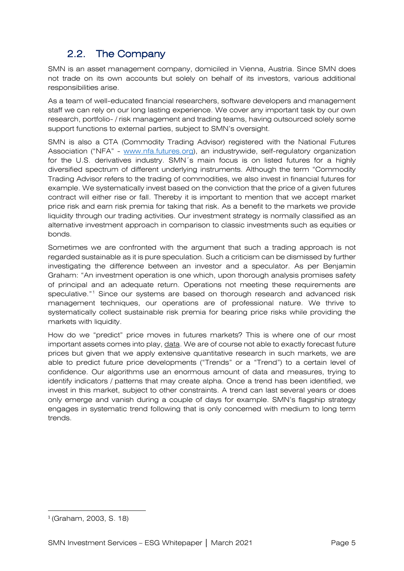#### 2.2. The Company

<span id="page-4-0"></span>SMN is an asset management company, domiciled in Vienna, Austria. Since SMN does not trade on its own accounts but solely on behalf of its investors, various additional responsibilities arise.

As a team of well-educated financial researchers, software developers and management staff we can rely on our long lasting experience. We cover any important task by our own research, portfolio- / risk management and trading teams, having outsourced solely some support functions to external parties, subject to SMN's oversight.

SMN is also a CTA (Commodity Trading Advisor) registered with the National Futures Association ("NFA" - [www.nfa.futures.org\)](http://www.nfa.futures.org/), an industrywide, self-regulatory organization for the U.S. derivatives industry. SMN´s main focus is on listed futures for a highly diversified spectrum of different underlying instruments. Although the term "Commodity Trading Advisor refers to the trading of commodities, we also invest in financial futures for example. We systematically invest based on the conviction that the price of a given futures contract will either rise or fall. Thereby it is important to mention that we accept market price risk and earn risk premia for taking that risk. As a benefit to the markets we provide liquidity through our trading activities. Our investment strategy is normally classified as an alternative investment approach in comparison to classic investments such as equities or bonds.

Sometimes we are confronted with the argument that such a trading approach is not regarded sustainable as it is pure speculation. Such a criticism can be dismissed by further investigating the difference between an investor and a speculator. As per Benjamin Graham: "An investment operation is one which, upon thorough analysis promises safety of principal and an adequate return. Operations not meeting these requirements are speculative."<sup>[1](#page-4-1)</sup> Since our systems are based on thorough research and advanced risk management techniques, our operations are of professional nature. We thrive to systematically collect sustainable risk premia for bearing price risks while providing the markets with liquidity.

How do we "predict" price moves in futures markets? This is where one of our most important assets comes into play, data. We are of course not able to exactly forecast future prices but given that we apply extensive quantitative research in such markets, we are able to predict future price developments ("Trends" or a "Trend") to a certain level of confidence. Our algorithms use an enormous amount of data and measures, trying to identify indicators / patterns that may create alpha. Once a trend has been identified, we invest in this market, subject to other constraints. A trend can last several years or does only emerge and vanish during a couple of days for example. SMN's flagship strategy engages in systematic trend following that is only concerned with medium to long term trends.

<span id="page-4-1"></span><sup>1</sup> (Graham, 2003, S. 18)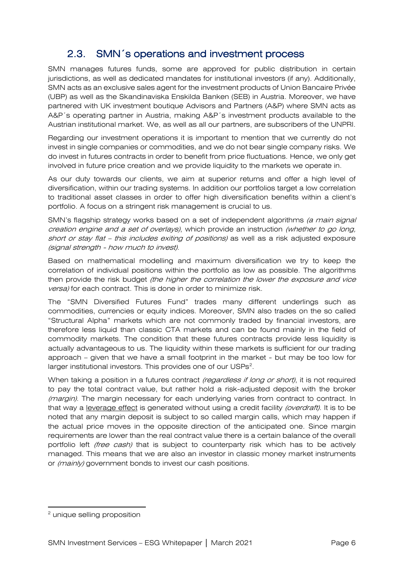#### 2.3. SMN´s operations and investment process

<span id="page-5-0"></span>SMN manages futures funds, some are approved for public distribution in certain jurisdictions, as well as dedicated mandates for institutional investors (if any). Additionally, SMN acts as an exclusive sales agent for the investment products of Union Bancaire Privée (UBP) as well as the Skandinaviska Enskilda Banken (SEB) in Austria. Moreover, we have partnered with UK investment boutique Advisors and Partners (A&P) where SMN acts as A&P´s operating partner in Austria, making A&P´s investment products available to the Austrian institutional market. We, as well as all our partners, are subscribers of the UNPRI.

Regarding our investment operations it is important to mention that we currently do not invest in single companies or commodities, and we do not bear single company risks. We do invest in futures contracts in order to benefit from price fluctuations. Hence, we only get involved in future price creation and we provide liquidity to the markets we operate in.

As our duty towards our clients, we aim at superior returns and offer a high level of diversification, within our trading systems. In addition our portfolios target a low correlation to traditional asset classes in order to offer high diversification benefits within a client's portfolio. A focus on a stringent risk management is crucial to us.

SMN's flagship strategy works based on a set of independent algorithms (a main signal creation engine and a set of overlays), which provide an instruction (whether to go long, short or stay flat – this includes exiting of positions) as well as a risk adjusted exposure (signal strength - how much to invest).

Based on mathematical modelling and maximum diversification we try to keep the correlation of individual positions within the portfolio as low as possible. The algorithms then provide the risk budget *(the higher the correlation the lower the exposure and vice* versa) for each contract. This is done in order to minimize risk.

The "SMN Diversified Futures Fund" trades many different underlings such as commodities, currencies or equity indices. Moreover, SMN also trades on the so called "Structural Alpha" markets which are not commonly traded by financial investors, are therefore less liquid than classic CTA markets and can be found mainly in the field of commodity markets. The condition that these futures contracts provide less liquidity is actually advantageous to us. The liquidity within these markets is sufficient for our trading approach – given that we have a small footprint in the market - but may be too low for larger institutional investors. This provides one of our USPs<sup>[2](#page-5-1)</sup>.

When taking a position in a futures contract (regardless if long or short), it is not required to pay the total contract value, but rather hold a risk-adjusted deposit with the broker (margin). The margin necessary for each underlying varies from contract to contract. In that way a leverage effect is generated without using a credit facility (overdraft). It is to be noted that any margin deposit is subject to so called margin calls, which may happen if the actual price moves in the opposite direction of the anticipated one. Since margin requirements are lower than the real contract value there is a certain balance of the overall portfolio left *(free cash)* that is subject to counterparty risk which has to be actively managed. This means that we are also an investor in classic money market instruments or (mainly) government bonds to invest our cash positions.

<span id="page-5-1"></span><sup>2</sup> unique selling proposition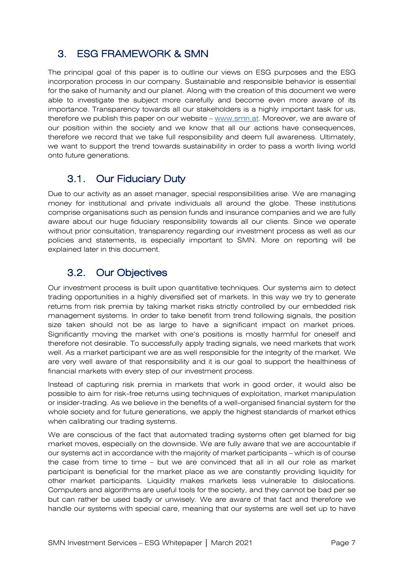### <span id="page-6-0"></span>3. ESG FRAMEWORK & SMN

The principal goal of this paper is to outline our views on ESG purposes and the ESG incorporation process in our company. Sustainable and responsible behavior is essential for the sake of humanity and our planet. Along with the creation of this document we were able to investigate the subject more carefully and become even more aware of its importance. Transparency towards all our stakeholders is a highly important task for us, therefore we publish this paper on our website – [www.smn.at.](http://www.smn.at/) Moreover, we are aware of our position within the society and we know that all our actions have consequences, therefore we record that we take full responsibility and deem full awareness. Ultimately, we want to support the trend towards sustainability in order to pass a worth living world onto future generations.

#### <span id="page-6-1"></span>3.1. Our Fiduciary Duty

Due to our activity as an asset manager, special responsibilities arise. We are managing money for institutional and private individuals all around the globe. These institutions comprise organisations such as pension funds and insurance companies and we are fully aware about our huge fiduciary responsibility towards all our clients. Since we operate without prior consultation, transparency regarding our investment process as well as our policies and statements, is especially important to SMN. More on reporting will be explained later in this document.

#### <span id="page-6-2"></span>3.2. Our Objectives

Our investment process is built upon quantitative techniques. Our systems aim to detect trading opportunities in a highly diversified set of markets. In this way we try to generate returns from risk premia by taking market risks strictly controlled by our embedded risk management systems. In order to take benefit from trend following signals, the position size taken should not be as large to have a significant impact on market prices. Significantly moving the market with one's positions is mostly harmful for oneself and therefore not desirable. To successfully apply trading signals, we need markets that work well. As a market participant we are as well responsible for the integrity of the market. We are very well aware of that responsibility and it is our goal to support the healthiness of financial markets with every step of our investment process.

Instead of capturing risk premia in markets that work in good order, it would also be possible to aim for risk-free returns using techniques of exploitation, market manipulation or insider-trading. As we believe in the benefits of a well-organised financial system for the whole society and for future generations, we apply the highest standards of market ethics when calibrating our trading systems.

We are conscious of the fact that automated trading systems often get blamed for big market moves, especially on the downside. We are fully aware that we are accountable if our systems act in accordance with the majority of market participants – which is of course the case from time to time – but we are convinced that all in all our role as market participant is beneficial for the market place as we are constantly providing liquidity for other market participants. Liquidity makes markets less vulnerable to dislocations. Computers and algorithms are useful tools for the society, and they cannot be bad per se but can rather be used badly or unwisely. We are aware of that fact and therefore we handle our systems with special care, meaning that our systems are well set up to have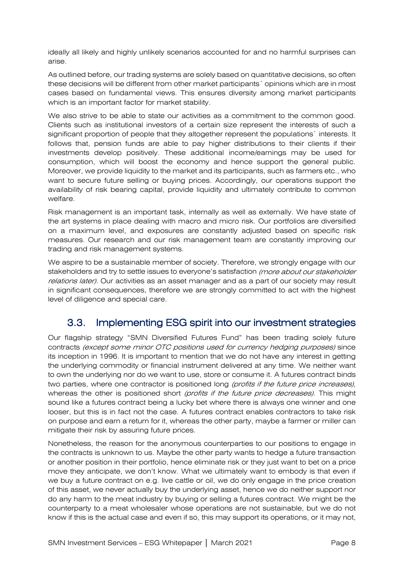ideally all likely and highly unlikely scenarios accounted for and no harmful surprises can arise.

As outlined before, our trading systems are solely based on quantitative decisions, so often these decisions will be different from other market participants´ opinions which are in most cases based on fundamental views. This ensures diversity among market participants which is an important factor for market stability.

We also strive to be able to state our activities as a commitment to the common good. Clients such as institutional investors of a certain size represent the interests of such a significant proportion of people that they altogether represent the populations` interests. It follows that, pension funds are able to pay higher distributions to their clients if their investments develop positively. These additional income/earnings may be used for consumption, which will boost the economy and hence support the general public. Moreover, we provide liquidity to the market and its participants, such as farmers etc., who want to secure future selling or buying prices. Accordingly, our operations support the availability of risk bearing capital, provide liquidity and ultimately contribute to common welfare.

Risk management is an important task, internally as well as externally. We have state of the art systems in place dealing with macro and micro risk. Our portfolios are diversified on a maximum level, and exposures are constantly adjusted based on specific risk measures. Our research and our risk management team are constantly improving our trading and risk management systems.

We aspire to be a sustainable member of society. Therefore, we strongly engage with our stakeholders and try to settle issues to everyone's satisfaction (more about our stakeholder relations later). Our activities as an asset manager and as a part of our society may result in significant consequences, therefore we are strongly committed to act with the highest level of diligence and special care.

#### <span id="page-7-0"></span>3.3. Implementing ESG spirit into our investment strategies

Our flagship strategy "SMN Diversified Futures Fund" has been trading solely future contracts (except some minor OTC positions used for currency hedging purposes) since its inception in 1996. It is important to mention that we do not have any interest in getting the underlying commodity or financial instrument delivered at any time. We neither want to own the underlying nor do we want to use, store or consume it. A futures contract binds two parties, where one contractor is positioned long *(profits if the future price increases)*, whereas the other is positioned short *(profits if the future price decreases)*. This might sound like a futures contract being a lucky bet where there is always one winner and one looser, but this is in fact not the case. A futures contract enables contractors to take risk on purpose and earn a return for it, whereas the other party, maybe a farmer or miller can mitigate their risk by assuring future prices.

Nonetheless, the reason for the anonymous counterparties to our positions to engage in the contracts is unknown to us. Maybe the other party wants to hedge a future transaction or another position in their portfolio, hence eliminate risk or they just want to bet on a price move they anticipate, we don't know. What we ultimately want to embody is that even if we buy a future contract on e.g. live cattle or oil, we do only engage in the price creation of this asset, we never actually buy the underlying asset, hence we do neither support nor do any harm to the meat industry by buying or selling a futures contract. We might be the counterparty to a meat wholesaler whose operations are not sustainable, but we do not know if this is the actual case and even if so, this may support its operations, or it may not,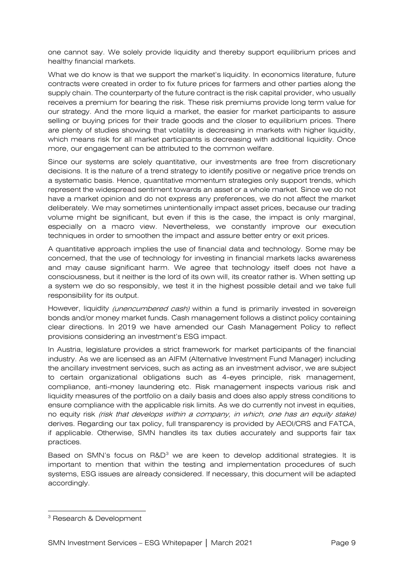one cannot say. We solely provide liquidity and thereby support equilibrium prices and healthy financial markets.

What we do know is that we support the market's liquidity. In economics literature, future contracts were created in order to fix future prices for farmers and other parties along the supply chain. The counterparty of the future contract is the risk capital provider, who usually receives a premium for bearing the risk. These risk premiums provide long term value for our strategy. And the more liquid a market, the easier for market participants to assure selling or buying prices for their trade goods and the closer to equilibrium prices. There are plenty of studies showing that volatility is decreasing in markets with higher liquidity, which means risk for all market participants is decreasing with additional liquidity. Once more, our engagement can be attributed to the common welfare.

Since our systems are solely quantitative, our investments are free from discretionary decisions. It is the nature of a trend strategy to identify positive or negative price trends on a systematic basis. Hence, quantitative momentum strategies only support trends, which represent the widespread sentiment towards an asset or a whole market. Since we do not have a market opinion and do not express any preferences, we do not affect the market deliberately. We may sometimes unintentionally impact asset prices, because our trading volume might be significant, but even if this is the case, the impact is only marginal, especially on a macro view. Nevertheless, we constantly improve our execution techniques in order to smoothen the impact and assure better entry or exit prices.

A quantitative approach implies the use of financial data and technology. Some may be concerned, that the use of technology for investing in financial markets lacks awareness and may cause significant harm. We agree that technology itself does not have a consciousness, but it neither is the lord of its own will, its creator rather is. When setting up a system we do so responsibly, we test it in the highest possible detail and we take full responsibility for its output.

However, liquidity *(unencumbered cash)* within a fund is primarily invested in sovereign bonds and/or money market funds. Cash management follows a distinct policy containing clear directions. In 2019 we have amended our Cash Management Policy to reflect provisions considering an investment's ESG impact.

In Austria, legislature provides a strict framework for market participants of the financial industry. As we are licensed as an AIFM (Alternative Investment Fund Manager) including the ancillary investment services, such as acting as an investment advisor, we are subject to certain organizational obligations such as 4-eyes principle, risk management, compliance, anti-money laundering etc. Risk management inspects various risk and liquidity measures of the portfolio on a daily basis and does also apply stress conditions to ensure compliance with the applicable risk limits. As we do currently not invest in equities, no equity risk (risk that develops within a company, in which, one has an equity stake) derives. Regarding our tax policy, full transparency is provided by AEOI/CRS and FATCA, if applicable. Otherwise, SMN handles its tax duties accurately and supports fair tax practices.

Based on SMN's focus on R&D<sup>[3](#page-8-0)</sup> we are keen to develop additional strategies. It is important to mention that within the testing and implementation procedures of such systems, ESG issues are already considered. If necessary, this document will be adapted accordingly.

<span id="page-8-0"></span><sup>3</sup> Research & Development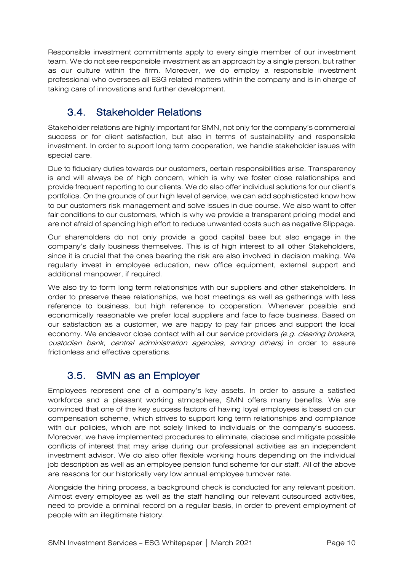Responsible investment commitments apply to every single member of our investment team. We do not see responsible investment as an approach by a single person, but rather as our culture within the firm. Moreover, we do employ a responsible investment professional who oversees all ESG related matters within the company and is in charge of taking care of innovations and further development.

#### <span id="page-9-0"></span>3.4. Stakeholder Relations

Stakeholder relations are highly important for SMN, not only for the company's commercial success or for client satisfaction, but also in terms of sustainability and responsible investment. In order to support long term cooperation, we handle stakeholder issues with special care.

Due to fiduciary duties towards our customers, certain responsibilities arise. Transparency is and will always be of high concern, which is why we foster close relationships and provide frequent reporting to our clients. We do also offer individual solutions for our client's portfolios. On the grounds of our high level of service, we can add sophisticated know how to our customers risk management and solve issues in due course. We also want to offer fair conditions to our customers, which is why we provide a transparent pricing model and are not afraid of spending high effort to reduce unwanted costs such as negative Slippage.

Our shareholders do not only provide a good capital base but also engage in the company's daily business themselves. This is of high interest to all other Stakeholders, since it is crucial that the ones bearing the risk are also involved in decision making. We regularly invest in employee education, new office equipment, external support and additional manpower, if required.

We also try to form long term relationships with our suppliers and other stakeholders. In order to preserve these relationships, we host meetings as well as gatherings with less reference to business, but high reference to cooperation. Whenever possible and economically reasonable we prefer local suppliers and face to face business. Based on our satisfaction as a customer, we are happy to pay fair prices and support the local economy. We endeavor close contact with all our service providers (e.g. clearing brokers, custodian bank, central administration agencies, among others) in order to assure frictionless and effective operations.

#### <span id="page-9-1"></span>3.5. SMN as an Employer

Employees represent one of a company's key assets. In order to assure a satisfied workforce and a pleasant working atmosphere, SMN offers many benefits. We are convinced that one of the key success factors of having loyal employees is based on our compensation scheme, which strives to support long term relationships and compliance with our policies, which are not solely linked to individuals or the company's success. Moreover, we have implemented procedures to eliminate, disclose and mitigate possible conflicts of interest that may arise during our professional activities as an independent investment advisor. We do also offer flexible working hours depending on the individual job description as well as an employee pension fund scheme for our staff. All of the above are reasons for our historically very low annual employee turnover rate.

Alongside the hiring process, a background check is conducted for any relevant position. Almost every employee as well as the staff handling our relevant outsourced activities, need to provide a criminal record on a regular basis, in order to prevent employment of people with an illegitimate history.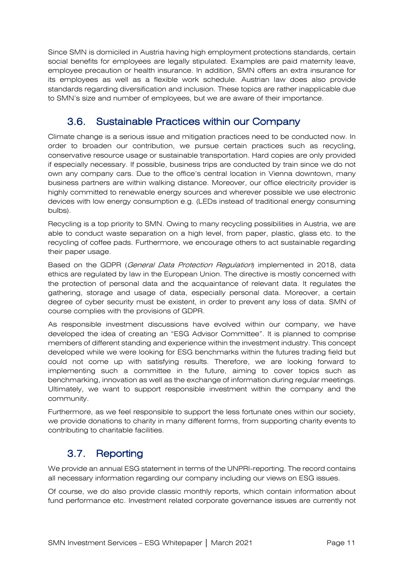Since SMN is domiciled in Austria having high employment protections standards, certain social benefits for employees are legally stipulated. Examples are paid maternity leave, employee precaution or health insurance. In addition, SMN offers an extra insurance for its employees as well as a flexible work schedule. Austrian law does also provide standards regarding diversification and inclusion. These topics are rather inapplicable due to SMN's size and number of employees, but we are aware of their importance.

#### <span id="page-10-0"></span>3.6. Sustainable Practices within our Company

Climate change is a serious issue and mitigation practices need to be conducted now. In order to broaden our contribution, we pursue certain practices such as recycling, conservative resource usage or sustainable transportation. Hard copies are only provided if especially necessary. If possible, business trips are conducted by train since we do not own any company cars. Due to the office's central location in Vienna downtown, many business partners are within walking distance. Moreover, our office electricity provider is highly committed to renewable energy sources and wherever possible we use electronic devices with low energy consumption e.g. (LEDs instead of traditional energy consuming bulbs).

Recycling is a top priority to SMN. Owing to many recycling possibilities in Austria, we are able to conduct waste separation on a high level, from paper, plastic, glass etc. to the recycling of coffee pads. Furthermore, we encourage others to act sustainable regarding their paper usage.

Based on the GDPR (General Data Protection Regulation) implemented in 2018, data ethics are regulated by law in the European Union. The directive is mostly concerned with the protection of personal data and the acquaintance of relevant data. It regulates the gathering, storage and usage of data, especially personal data. Moreover, a certain degree of cyber security must be existent, in order to prevent any loss of data. SMN of course complies with the provisions of GDPR.

As responsible investment discussions have evolved within our company, we have developed the idea of creating an "ESG Advisor Committee". It is planned to comprise members of different standing and experience within the investment industry. This concept developed while we were looking for ESG benchmarks within the futures trading field but could not come up with satisfying results. Therefore, we are looking forward to implementing such a committee in the future, aiming to cover topics such as benchmarking, innovation as well as the exchange of information during regular meetings. Ultimately, we want to support responsible investment within the company and the community.

Furthermore, as we feel responsible to support the less fortunate ones within our society, we provide donations to charity in many different forms, from supporting charity events to contributing to charitable facilities.

#### <span id="page-10-1"></span>3.7. Reporting

We provide an annual ESG statement in terms of the UNPRI-reporting. The record contains all necessary information regarding our company including our views on ESG issues.

Of course, we do also provide classic monthly reports, which contain information about fund performance etc. Investment related corporate governance issues are currently not